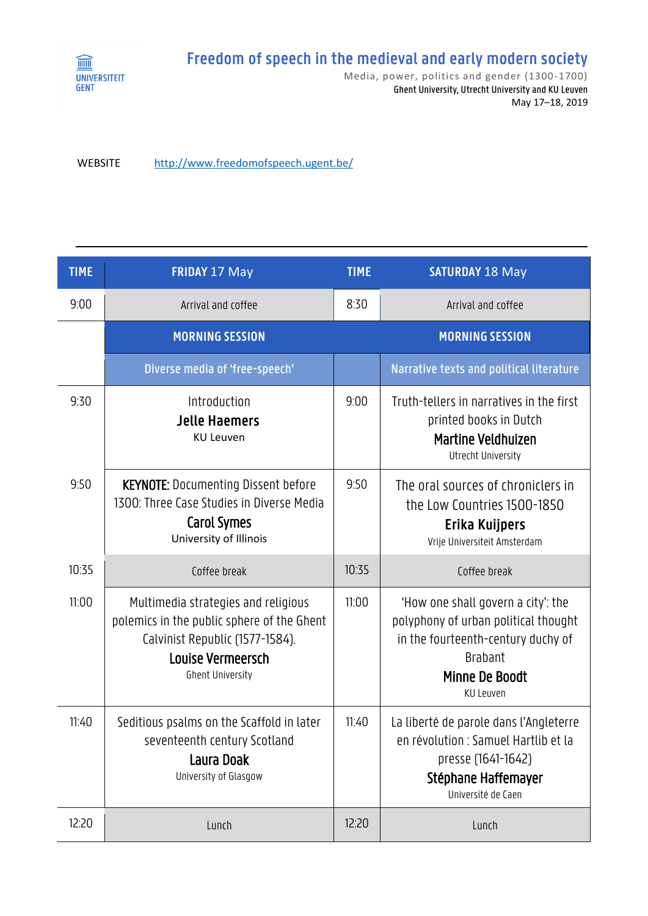

## **Freedom of speech in the medieval and early modern society**

Media, power, politics and gender (1300 -1700) Ghent University, Utrecht University and KU Leuven May 17–18, 2019

WEBSITE <http://www.freedomofspeech.ugent.be/>

| <b>TIME</b> | <b>FRIDAY 17 May</b>                                                                                                                                                        | <b>TIME</b> | <b>SATURDAY 18 May</b>                                                                                                                                            |
|-------------|-----------------------------------------------------------------------------------------------------------------------------------------------------------------------------|-------------|-------------------------------------------------------------------------------------------------------------------------------------------------------------------|
| 9:00        | Arrival and coffee                                                                                                                                                          | 8:30        | Arrival and coffee                                                                                                                                                |
|             | <b>MORNING SESSION</b>                                                                                                                                                      |             | <b>MORNING SESSION</b>                                                                                                                                            |
|             | Diverse media of 'free-speech'                                                                                                                                              |             | Narrative texts and political literature                                                                                                                          |
| 9:30        | Introduction<br><b>Jelle Haemers</b><br><b>KU Leuven</b>                                                                                                                    | 9:00        | Truth-tellers in narratives in the first<br>printed books in Dutch<br><b>Martine Veldhuizen</b><br>Utrecht University                                             |
| 9:50        | <b>KEYNOTE:</b> Documenting Dissent before<br>1300: Three Case Studies in Diverse Media<br><b>Carol Symes</b><br>University of Illinois                                     | 9:50        | The oral sources of chroniclers in<br>the Low Countries 1500-1850<br>Erika Kuijpers<br>Vrije Universiteit Amsterdam                                               |
| 10:35       | Coffee break                                                                                                                                                                | 10:35       | Coffee break                                                                                                                                                      |
| 11:00       | Multimedia strategies and religious<br>polemics in the public sphere of the Ghent<br>Calvinist Republic (1577-1584).<br><b>Louise Vermeersch</b><br><b>Ghent University</b> | 11:00       | 'How one shall govern a city': the<br>polyphony of urban political thought<br>in the fourteenth-century duchy of<br><b>Brabant</b><br>Minne De Boodt<br>KU Leuven |
| 11:40       | Seditious psalms on the Scaffold in later<br>seventeenth century Scotland<br>Laura Doak<br>University of Glasgow                                                            | 11:40       | La liberté de parole dans l'Angleterre<br>en révolution : Samuel Hartlib et la<br>presse (1641-1642)<br>Stéphane Haffemayer<br>Université de Caen                 |
| 12:20       | Lunch                                                                                                                                                                       | 12:20       | Lunch                                                                                                                                                             |